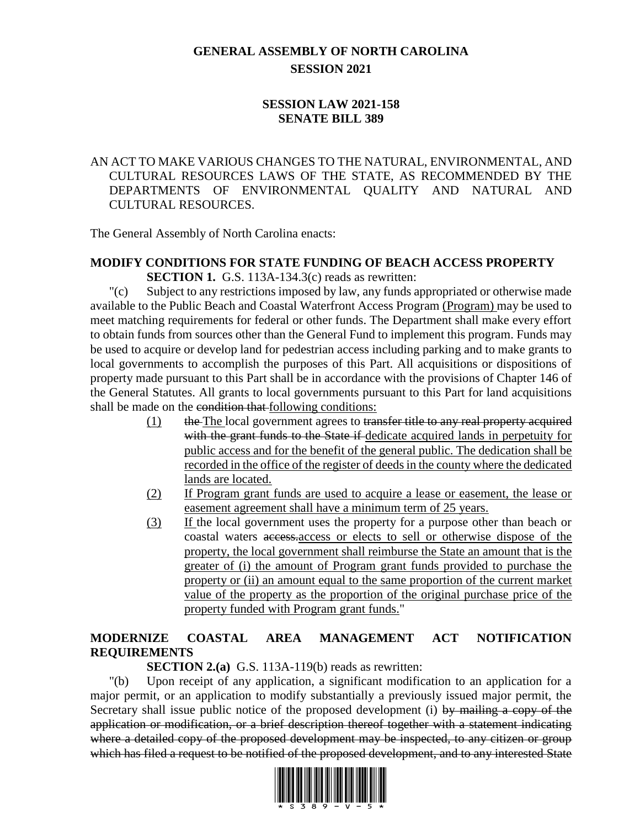### **GENERAL ASSEMBLY OF NORTH CAROLINA SESSION 2021**

### **SESSION LAW 2021-158 SENATE BILL 389**

### AN ACT TO MAKE VARIOUS CHANGES TO THE NATURAL, ENVIRONMENTAL, AND CULTURAL RESOURCES LAWS OF THE STATE, AS RECOMMENDED BY THE DEPARTMENTS OF ENVIRONMENTAL QUALITY AND NATURAL AND CULTURAL RESOURCES.

The General Assembly of North Carolina enacts:

# **MODIFY CONDITIONS FOR STATE FUNDING OF BEACH ACCESS PROPERTY**

**SECTION 1.** G.S. 113A-134.3(c) reads as rewritten:

"(c) Subject to any restrictions imposed by law, any funds appropriated or otherwise made available to the Public Beach and Coastal Waterfront Access Program (Program) may be used to meet matching requirements for federal or other funds. The Department shall make every effort to obtain funds from sources other than the General Fund to implement this program. Funds may be used to acquire or develop land for pedestrian access including parking and to make grants to local governments to accomplish the purposes of this Part. All acquisitions or dispositions of property made pursuant to this Part shall be in accordance with the provisions of Chapter 146 of the General Statutes. All grants to local governments pursuant to this Part for land acquisitions shall be made on the condition that following conditions:

- $(1)$  the The local government agrees to transfer title to any real property acquired with the grant funds to the State if-dedicate acquired lands in perpetuity for public access and for the benefit of the general public. The dedication shall be recorded in the office of the register of deeds in the county where the dedicated lands are located.
- (2) If Program grant funds are used to acquire a lease or easement, the lease or easement agreement shall have a minimum term of 25 years.
- (3) If the local government uses the property for a purpose other than beach or coastal waters access.access or elects to sell or otherwise dispose of the property, the local government shall reimburse the State an amount that is the greater of (i) the amount of Program grant funds provided to purchase the property or (ii) an amount equal to the same proportion of the current market value of the property as the proportion of the original purchase price of the property funded with Program grant funds."

### **MODERNIZE COASTAL AREA MANAGEMENT ACT NOTIFICATION REQUIREMENTS**

**SECTION 2.(a)** G.S. 113A-119(b) reads as rewritten:

"(b) Upon receipt of any application, a significant modification to an application for a major permit, or an application to modify substantially a previously issued major permit, the Secretary shall issue public notice of the proposed development (i) by mailing a copy of the application or modification, or a brief description thereof together with a statement indicating where a detailed copy of the proposed development may be inspected, to any citizen or group which has filed a request to be notified of the proposed development, and to any interested State

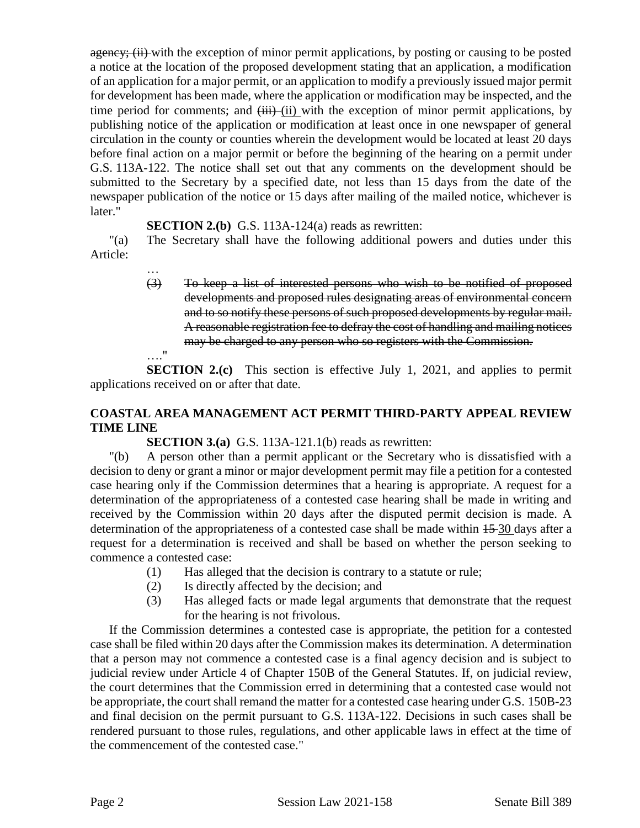agency; (ii) with the exception of minor permit applications, by posting or causing to be posted a notice at the location of the proposed development stating that an application, a modification of an application for a major permit, or an application to modify a previously issued major permit for development has been made, where the application or modification may be inspected, and the time period for comments; and  $\overline{(\mathbf{iii})}$  (ii) with the exception of minor permit applications, by publishing notice of the application or modification at least once in one newspaper of general circulation in the county or counties wherein the development would be located at least 20 days before final action on a major permit or before the beginning of the hearing on a permit under G.S. 113A-122. The notice shall set out that any comments on the development should be submitted to the Secretary by a specified date, not less than 15 days from the date of the newspaper publication of the notice or 15 days after mailing of the mailed notice, whichever is later."

#### **SECTION 2.(b)** G.S. 113A-124(a) reads as rewritten:

…

"(a) The Secretary shall have the following additional powers and duties under this Article:

> (3) To keep a list of interested persons who wish to be notified of proposed developments and proposed rules designating areas of environmental concern and to so notify these persons of such proposed developments by regular mail. A reasonable registration fee to defray the cost of handling and mailing notices may be charged to any person who so registers with the Commission. …."

**SECTION 2.(c)** This section is effective July 1, 2021, and applies to permit applications received on or after that date.

### **COASTAL AREA MANAGEMENT ACT PERMIT THIRD-PARTY APPEAL REVIEW TIME LINE**

**SECTION 3.(a)** G.S. 113A-121.1(b) reads as rewritten:

"(b) A person other than a permit applicant or the Secretary who is dissatisfied with a decision to deny or grant a minor or major development permit may file a petition for a contested case hearing only if the Commission determines that a hearing is appropriate. A request for a determination of the appropriateness of a contested case hearing shall be made in writing and received by the Commission within 20 days after the disputed permit decision is made. A determination of the appropriateness of a contested case shall be made within 15 30 days after a request for a determination is received and shall be based on whether the person seeking to commence a contested case:

- (1) Has alleged that the decision is contrary to a statute or rule;
- (2) Is directly affected by the decision; and
- (3) Has alleged facts or made legal arguments that demonstrate that the request for the hearing is not frivolous.

If the Commission determines a contested case is appropriate, the petition for a contested case shall be filed within 20 days after the Commission makes its determination. A determination that a person may not commence a contested case is a final agency decision and is subject to judicial review under Article 4 of Chapter 150B of the General Statutes. If, on judicial review, the court determines that the Commission erred in determining that a contested case would not be appropriate, the court shall remand the matter for a contested case hearing under G.S. 150B-23 and final decision on the permit pursuant to G.S. 113A-122. Decisions in such cases shall be rendered pursuant to those rules, regulations, and other applicable laws in effect at the time of the commencement of the contested case."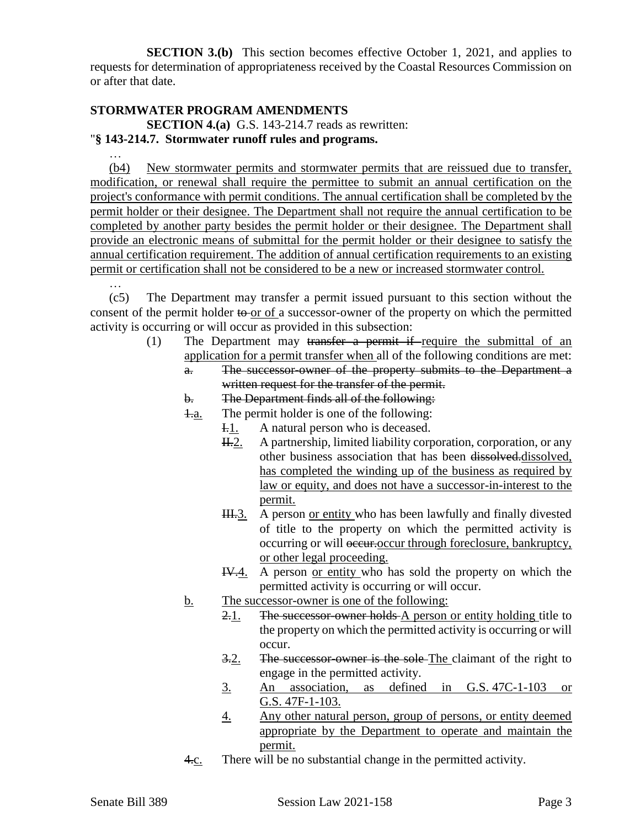**SECTION 3.(b)** This section becomes effective October 1, 2021, and applies to requests for determination of appropriateness received by the Coastal Resources Commission on or after that date.

### **STORMWATER PROGRAM AMENDMENTS**

…

…

**SECTION 4.(a)** G.S. 143-214.7 reads as rewritten:

#### "**§ 143-214.7. Stormwater runoff rules and programs.**

(b4) New stormwater permits and stormwater permits that are reissued due to transfer, modification, or renewal shall require the permittee to submit an annual certification on the project's conformance with permit conditions. The annual certification shall be completed by the permit holder or their designee. The Department shall not require the annual certification to be completed by another party besides the permit holder or their designee. The Department shall provide an electronic means of submittal for the permit holder or their designee to satisfy the annual certification requirement. The addition of annual certification requirements to an existing permit or certification shall not be considered to be a new or increased stormwater control.

(c5) The Department may transfer a permit issued pursuant to this section without the consent of the permit holder to or of a successor-owner of the property on which the permitted activity is occurring or will occur as provided in this subsection:

- (1) The Department may transfer a permit if require the submittal of an application for a permit transfer when all of the following conditions are met:
	- a. The successor-owner of the property submits to the Department a written request for the transfer of the permit.

#### b. The Department finds all of the following:

1.a. The permit holder is one of the following:

- I.1. A natural person who is deceased.
	- H.2. A partnership, limited liability corporation, corporation, or any other business association that has been dissolved.dissolved, has completed the winding up of the business as required by law or equity, and does not have a successor-in-interest to the permit.
- III.3. A person or entity who has been lawfully and finally divested of title to the property on which the permitted activity is occurring or will occur.occur through foreclosure, bankruptcy, or other legal proceeding.
- IV.4. A person or entity who has sold the property on which the permitted activity is occurring or will occur.
- b. The successor-owner is one of the following:
	- 2.1. The successor-owner holds A person or entity holding title to the property on which the permitted activity is occurring or will occur.
	- 3.2. The successor-owner is the sole-The claimant of the right to engage in the permitted activity.
	- 3. An association, as defined in G.S. 47C-1-103 or G.S. 47F-1-103.
	- 4. Any other natural person, group of persons, or entity deemed appropriate by the Department to operate and maintain the permit.
- 4.c. There will be no substantial change in the permitted activity.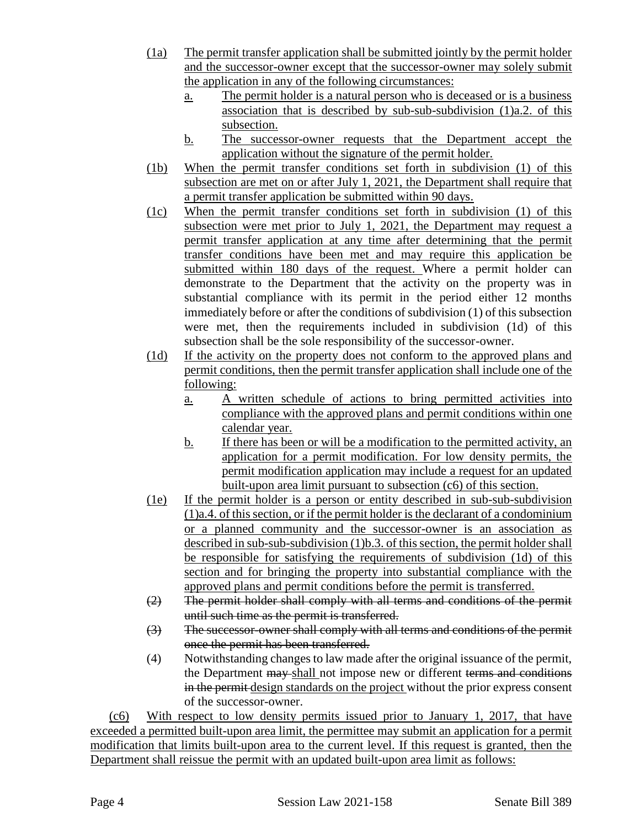- (1a) The permit transfer application shall be submitted jointly by the permit holder and the successor-owner except that the successor-owner may solely submit the application in any of the following circumstances:
	- a. The permit holder is a natural person who is deceased or is a business association that is described by sub-sub-subdivision (1)a.2. of this subsection.
	- b. The successor-owner requests that the Department accept the application without the signature of the permit holder.
- (1b) When the permit transfer conditions set forth in subdivision (1) of this subsection are met on or after July 1, 2021, the Department shall require that a permit transfer application be submitted within 90 days.
- (1c) When the permit transfer conditions set forth in subdivision (1) of this subsection were met prior to July 1, 2021, the Department may request a permit transfer application at any time after determining that the permit transfer conditions have been met and may require this application be submitted within 180 days of the request. Where a permit holder can demonstrate to the Department that the activity on the property was in substantial compliance with its permit in the period either 12 months immediately before or after the conditions of subdivision (1) of this subsection were met, then the requirements included in subdivision (1d) of this subsection shall be the sole responsibility of the successor-owner.
- (1d) If the activity on the property does not conform to the approved plans and permit conditions, then the permit transfer application shall include one of the following:
	- a. A written schedule of actions to bring permitted activities into compliance with the approved plans and permit conditions within one calendar year.
	- b. If there has been or will be a modification to the permitted activity, an application for a permit modification. For low density permits, the permit modification application may include a request for an updated built-upon area limit pursuant to subsection (c6) of this section.
- (1e) If the permit holder is a person or entity described in sub-sub-subdivision (1)a.4. of this section, or if the permit holder is the declarant of a condominium or a planned community and the successor-owner is an association as described in sub-sub-subdivision (1)b.3. of this section, the permit holder shall be responsible for satisfying the requirements of subdivision (1d) of this section and for bringing the property into substantial compliance with the approved plans and permit conditions before the permit is transferred.
- (2) The permit holder shall comply with all terms and conditions of the permit until such time as the permit is transferred.
- (3) The successor-owner shall comply with all terms and conditions of the permit once the permit has been transferred.
- (4) Notwithstanding changes to law made after the original issuance of the permit, the Department may-shall not impose new or different terms and conditions in the permit design standards on the project without the prior express consent of the successor-owner.

(c6) With respect to low density permits issued prior to January 1, 2017, that have exceeded a permitted built-upon area limit, the permittee may submit an application for a permit modification that limits built-upon area to the current level. If this request is granted, then the Department shall reissue the permit with an updated built-upon area limit as follows: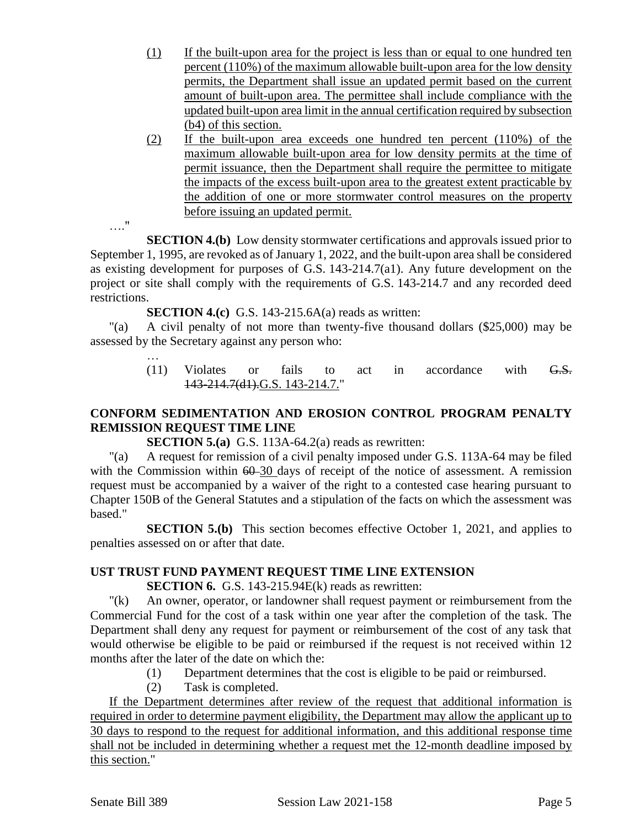- (1) If the built-upon area for the project is less than or equal to one hundred ten percent (110%) of the maximum allowable built-upon area for the low density permits, the Department shall issue an updated permit based on the current amount of built-upon area. The permittee shall include compliance with the updated built-upon area limit in the annual certification required by subsection (b4) of this section.
- (2) If the built-upon area exceeds one hundred ten percent (110%) of the maximum allowable built-upon area for low density permits at the time of permit issuance, then the Department shall require the permittee to mitigate the impacts of the excess built-upon area to the greatest extent practicable by the addition of one or more stormwater control measures on the property before issuing an updated permit.

…."

…

**SECTION 4.(b)** Low density stormwater certifications and approvals issued prior to September 1, 1995, are revoked as of January 1, 2022, and the built-upon area shall be considered as existing development for purposes of G.S. 143-214.7(a1). Any future development on the project or site shall comply with the requirements of G.S. 143-214.7 and any recorded deed restrictions.

**SECTION 4.(c)** G.S. 143-215.6A(a) reads as written:

"(a) A civil penalty of not more than twenty-five thousand dollars (\$25,000) may be assessed by the Secretary against any person who:

> (11) Violates or fails to act in accordance with  $G.S.$ 143-214.7(d1).G.S. 143-214.7."

### **CONFORM SEDIMENTATION AND EROSION CONTROL PROGRAM PENALTY REMISSION REQUEST TIME LINE**

**SECTION 5.(a)** G.S. 113A-64.2(a) reads as rewritten:

"(a) A request for remission of a civil penalty imposed under G.S. 113A-64 may be filed with the Commission within  $60-30$  days of receipt of the notice of assessment. A remission request must be accompanied by a waiver of the right to a contested case hearing pursuant to Chapter 150B of the General Statutes and a stipulation of the facts on which the assessment was based."

**SECTION 5.(b)** This section becomes effective October 1, 2021, and applies to penalties assessed on or after that date.

### **UST TRUST FUND PAYMENT REQUEST TIME LINE EXTENSION**

**SECTION 6.** G.S. 143-215.94E(k) reads as rewritten:

"(k) An owner, operator, or landowner shall request payment or reimbursement from the Commercial Fund for the cost of a task within one year after the completion of the task. The Department shall deny any request for payment or reimbursement of the cost of any task that would otherwise be eligible to be paid or reimbursed if the request is not received within 12 months after the later of the date on which the:

- (1) Department determines that the cost is eligible to be paid or reimbursed.
- (2) Task is completed.

If the Department determines after review of the request that additional information is required in order to determine payment eligibility, the Department may allow the applicant up to 30 days to respond to the request for additional information, and this additional response time shall not be included in determining whether a request met the 12-month deadline imposed by this section."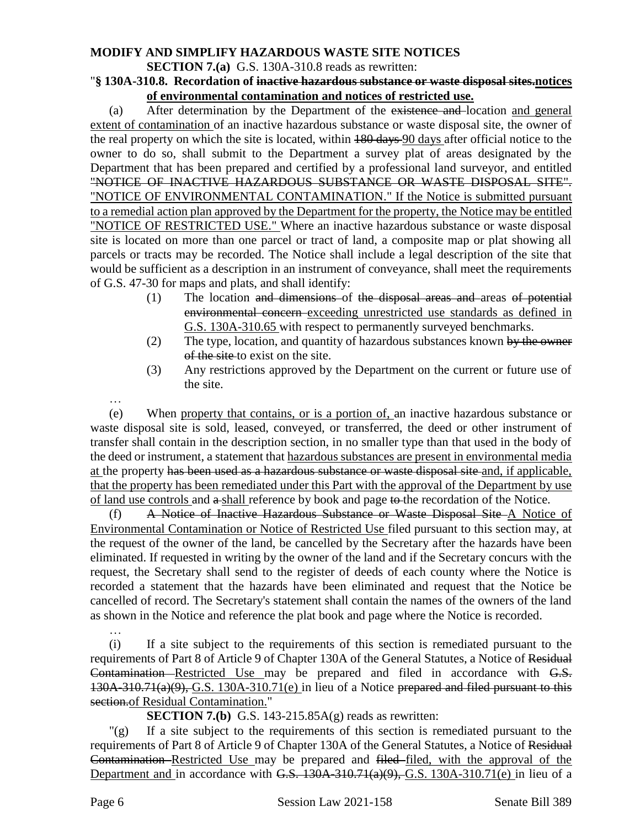## **MODIFY AND SIMPLIFY HAZARDOUS WASTE SITE NOTICES**

#### **SECTION 7.(a)** G.S. 130A-310.8 reads as rewritten:

#### "**§ 130A-310.8. Recordation of inactive hazardous substance or waste disposal sites.notices of environmental contamination and notices of restricted use.**

(a) After determination by the Department of the existence and location and general extent of contamination of an inactive hazardous substance or waste disposal site, the owner of the real property on which the site is located, within 180 days 90 days after official notice to the owner to do so, shall submit to the Department a survey plat of areas designated by the Department that has been prepared and certified by a professional land surveyor, and entitled "NOTICE OF INACTIVE HAZARDOUS SUBSTANCE OR WASTE DISPOSAL SITE". "NOTICE OF ENVIRONMENTAL CONTAMINATION." If the Notice is submitted pursuant to a remedial action plan approved by the Department for the property, the Notice may be entitled "NOTICE OF RESTRICTED USE." Where an inactive hazardous substance or waste disposal site is located on more than one parcel or tract of land, a composite map or plat showing all parcels or tracts may be recorded. The Notice shall include a legal description of the site that would be sufficient as a description in an instrument of conveyance, shall meet the requirements of G.S. 47-30 for maps and plats, and shall identify:

- (1) The location and dimensions of the disposal areas and areas of potential environmental concern exceeding unrestricted use standards as defined in G.S. 130A-310.65 with respect to permanently surveyed benchmarks.
- (2) The type, location, and quantity of hazardous substances known by the owner of the site to exist on the site.
- (3) Any restrictions approved by the Department on the current or future use of the site.

…

(e) When property that contains, or is a portion of, an inactive hazardous substance or waste disposal site is sold, leased, conveyed, or transferred, the deed or other instrument of transfer shall contain in the description section, in no smaller type than that used in the body of the deed or instrument, a statement that hazardous substances are present in environmental media at the property has been used as a hazardous substance or waste disposal site and, if applicable, that the property has been remediated under this Part with the approval of the Department by use of land use controls and a shall reference by book and page to the recordation of the Notice.

(f) A Notice of Inactive Hazardous Substance or Waste Disposal Site A Notice of Environmental Contamination or Notice of Restricted Use filed pursuant to this section may, at the request of the owner of the land, be cancelled by the Secretary after the hazards have been eliminated. If requested in writing by the owner of the land and if the Secretary concurs with the request, the Secretary shall send to the register of deeds of each county where the Notice is recorded a statement that the hazards have been eliminated and request that the Notice be cancelled of record. The Secretary's statement shall contain the names of the owners of the land as shown in the Notice and reference the plat book and page where the Notice is recorded.

(i) If a site subject to the requirements of this section is remediated pursuant to the requirements of Part 8 of Article 9 of Chapter 130A of the General Statutes, a Notice of Residual Contamination Restricted Use may be prepared and filed in accordance with G.S. 130A-310.71(a)(9), G.S. 130A-310.71(e) in lieu of a Notice prepared and filed pursuant to this section.of Residual Contamination."

**SECTION 7.(b)** G.S. 143-215.85A(g) reads as rewritten:

"(g) If a site subject to the requirements of this section is remediated pursuant to the requirements of Part 8 of Article 9 of Chapter 130A of the General Statutes, a Notice of Residual Contamination Restricted Use may be prepared and filed filed, with the approval of the Department and in accordance with G.S.  $130A-310.71(a)(9)$ , G.S. 130A-310.71(e) in lieu of a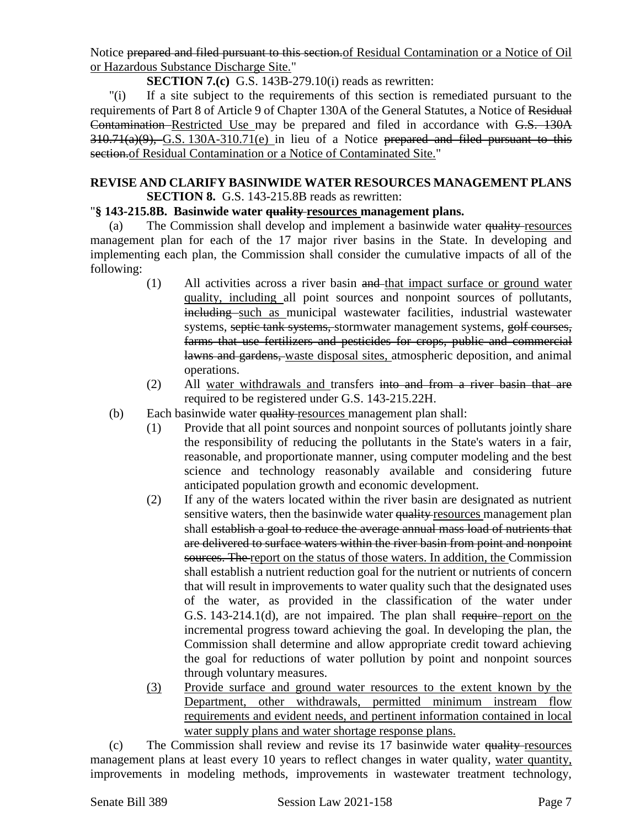Notice prepared and filed pursuant to this section.of Residual Contamination or a Notice of Oil or Hazardous Substance Discharge Site."

**SECTION 7.(c)** G.S. 143B-279.10(i) reads as rewritten:

"(i) If a site subject to the requirements of this section is remediated pursuant to the requirements of Part 8 of Article 9 of Chapter 130A of the General Statutes, a Notice of Residual Contamination Restricted Use may be prepared and filed in accordance with G.S. 130A  $310.71(a)(9)$ , G.S. 130A-310.71(e) in lieu of a Notice prepared and filed pursuant to this section.of Residual Contamination or a Notice of Contaminated Site."

#### **REVISE AND CLARIFY BASINWIDE WATER RESOURCES MANAGEMENT PLANS SECTION 8.** G.S. 143-215.8B reads as rewritten:

### "**§ 143-215.8B. Basinwide water quality resources management plans.**

(a) The Commission shall develop and implement a basinwide water quality resources management plan for each of the 17 major river basins in the State. In developing and implementing each plan, the Commission shall consider the cumulative impacts of all of the following:

- (1) All activities across a river basin and that impact surface or ground water quality, including all point sources and nonpoint sources of pollutants, including such as municipal wastewater facilities, industrial wastewater systems, septic tank systems, stormwater management systems, golf courses, farms that use fertilizers and pesticides for crops, public and commercial lawns and gardens, waste disposal sites, atmospheric deposition, and animal operations.
- (2) All water withdrawals and transfers into and from a river basin that are required to be registered under G.S. 143-215.22H.
- (b) Each basinwide water quality resources management plan shall:
	- (1) Provide that all point sources and nonpoint sources of pollutants jointly share the responsibility of reducing the pollutants in the State's waters in a fair, reasonable, and proportionate manner, using computer modeling and the best science and technology reasonably available and considering future anticipated population growth and economic development.
	- (2) If any of the waters located within the river basin are designated as nutrient sensitive waters, then the basinwide water quality resources management plan shall establish a goal to reduce the average annual mass load of nutrients that are delivered to surface waters within the river basin from point and nonpoint sources. The report on the status of those waters. In addition, the Commission shall establish a nutrient reduction goal for the nutrient or nutrients of concern that will result in improvements to water quality such that the designated uses of the water, as provided in the classification of the water under G.S. 143-214.1(d), are not impaired. The plan shall require report on the incremental progress toward achieving the goal. In developing the plan, the Commission shall determine and allow appropriate credit toward achieving the goal for reductions of water pollution by point and nonpoint sources through voluntary measures.
	- (3) Provide surface and ground water resources to the extent known by the Department, other withdrawals, permitted minimum instream flow requirements and evident needs, and pertinent information contained in local water supply plans and water shortage response plans.

(c) The Commission shall review and revise its 17 basinwide water quality resources management plans at least every 10 years to reflect changes in water quality, water quantity, improvements in modeling methods, improvements in wastewater treatment technology,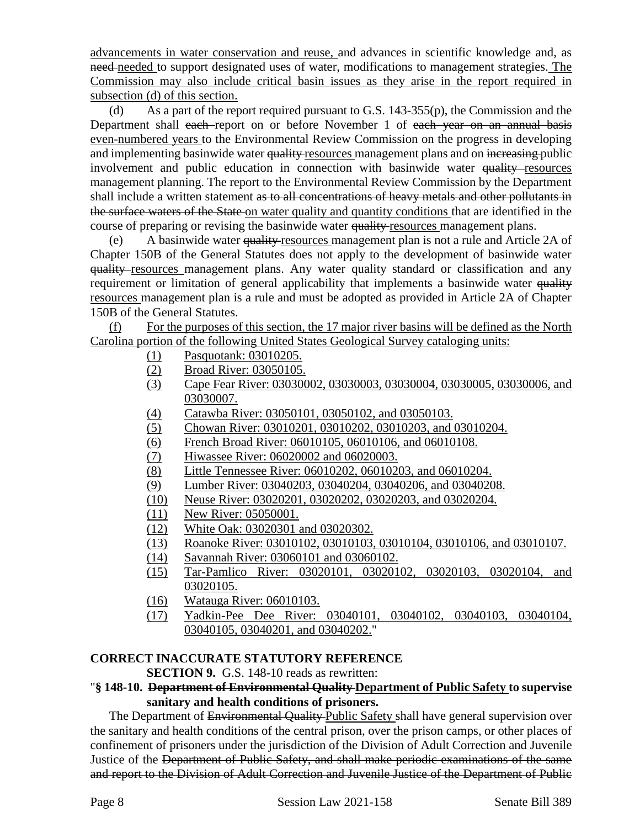advancements in water conservation and reuse, and advances in scientific knowledge and, as need-needed to support designated uses of water, modifications to management strategies. The Commission may also include critical basin issues as they arise in the report required in subsection (d) of this section.

(d) As a part of the report required pursuant to G.S. 143-355(p), the Commission and the Department shall each report on or before November 1 of each year on an annual basis even-numbered years to the Environmental Review Commission on the progress in developing and implementing basinwide water quality resources management plans and on increasing public involvement and public education in connection with basinwide water quality resources management planning. The report to the Environmental Review Commission by the Department shall include a written statement as to all concentrations of heavy metals and other pollutants in the surface waters of the State on water quality and quantity conditions that are identified in the course of preparing or revising the basinwide water quality resources management plans.

(e) A basinwide water quality resources management plan is not a rule and Article 2A of Chapter 150B of the General Statutes does not apply to the development of basinwide water quality resources management plans. Any water quality standard or classification and any requirement or limitation of general applicability that implements a basinwide water quality resources management plan is a rule and must be adopted as provided in Article 2A of Chapter 150B of the General Statutes.

(f) For the purposes of this section, the 17 major river basins will be defined as the North Carolina portion of the following United States Geological Survey cataloging units:

- (1) Pasquotank: 03010205.
- (2) Broad River: 03050105.
- (3) Cape Fear River: 03030002, 03030003, 03030004, 03030005, 03030006, and 03030007.
- (4) Catawba River: 03050101, 03050102, and 03050103.
- (5) Chowan River: 03010201, 03010202, 03010203, and 03010204.
- (6) French Broad River: 06010105, 06010106, and 06010108.
- (7) Hiwassee River: 06020002 and 06020003.
- (8) Little Tennessee River: 06010202, 06010203, and 06010204.
- (9) Lumber River: 03040203, 03040204, 03040206, and 03040208.
- (10) Neuse River: 03020201, 03020202, 03020203, and 03020204.
- (11) New River: 05050001.
- (12) White Oak: 03020301 and 03020302.
- (13) Roanoke River: 03010102, 03010103, 03010104, 03010106, and 03010107.
- (14) Savannah River: 03060101 and 03060102.
- (15) Tar-Pamlico River: 03020101, 03020102, 03020103, 03020104, and 03020105.
- (16) Watauga River: 06010103.
- (17) Yadkin-Pee Dee River: 03040101, 03040102, 03040103, 03040104, 03040105, 03040201, and 03040202."

### **CORRECT INACCURATE STATUTORY REFERENCE**

#### **SECTION 9.** G.S. 148-10 reads as rewritten:

#### "**§ 148-10. Department of Environmental Quality Department of Public Safety to supervise sanitary and health conditions of prisoners.**

The Department of Environmental Quality Public Safety shall have general supervision over the sanitary and health conditions of the central prison, over the prison camps, or other places of confinement of prisoners under the jurisdiction of the Division of Adult Correction and Juvenile Justice of the Department of Public Safety, and shall make periodic examinations of the same and report to the Division of Adult Correction and Juvenile Justice of the Department of Public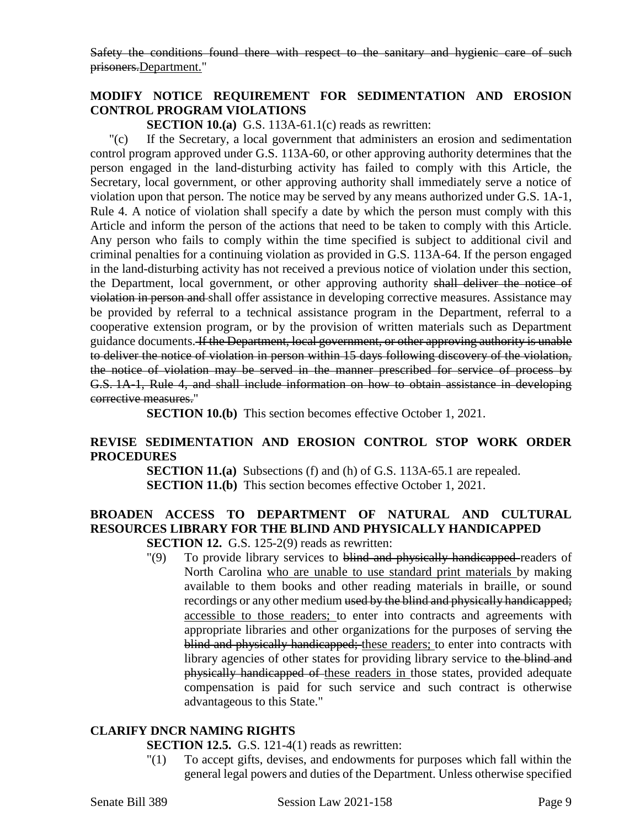Safety the conditions found there with respect to the sanitary and hygienic care of such prisoners.Department."

### **MODIFY NOTICE REQUIREMENT FOR SEDIMENTATION AND EROSION CONTROL PROGRAM VIOLATIONS**

**SECTION 10.(a)** G.S. 113A-61.1(c) reads as rewritten:

"(c) If the Secretary, a local government that administers an erosion and sedimentation control program approved under G.S. 113A-60, or other approving authority determines that the person engaged in the land-disturbing activity has failed to comply with this Article, the Secretary, local government, or other approving authority shall immediately serve a notice of violation upon that person. The notice may be served by any means authorized under G.S. 1A-1, Rule 4. A notice of violation shall specify a date by which the person must comply with this Article and inform the person of the actions that need to be taken to comply with this Article. Any person who fails to comply within the time specified is subject to additional civil and criminal penalties for a continuing violation as provided in G.S. 113A-64. If the person engaged in the land-disturbing activity has not received a previous notice of violation under this section, the Department, local government, or other approving authority shall deliver the notice of violation in person and shall offer assistance in developing corrective measures. Assistance may be provided by referral to a technical assistance program in the Department, referral to a cooperative extension program, or by the provision of written materials such as Department guidance documents. If the Department, local government, or other approving authority is unable to deliver the notice of violation in person within 15 days following discovery of the violation, the notice of violation may be served in the manner prescribed for service of process by G.S. 1A-1, Rule 4, and shall include information on how to obtain assistance in developing corrective measures."

**SECTION 10.(b)** This section becomes effective October 1, 2021.

### **REVISE SEDIMENTATION AND EROSION CONTROL STOP WORK ORDER PROCEDURES**

**SECTION 11.(a)** Subsections (f) and (h) of G.S. 113A-65.1 are repealed. **SECTION 11.(b)** This section becomes effective October 1, 2021.

# **BROADEN ACCESS TO DEPARTMENT OF NATURAL AND CULTURAL RESOURCES LIBRARY FOR THE BLIND AND PHYSICALLY HANDICAPPED**

**SECTION 12.** G.S. 125-2(9) reads as rewritten:

"(9) To provide library services to blind and physically handicapped readers of North Carolina who are unable to use standard print materials by making available to them books and other reading materials in braille, or sound recordings or any other medium used by the blind and physically handicapped; accessible to those readers; to enter into contracts and agreements with appropriate libraries and other organizations for the purposes of serving the blind and physically handicapped; these readers; to enter into contracts with library agencies of other states for providing library service to the blind and physically handicapped of these readers in those states, provided adequate compensation is paid for such service and such contract is otherwise advantageous to this State."

### **CLARIFY DNCR NAMING RIGHTS**

**SECTION 12.5.** G.S. 121-4(1) reads as rewritten:

"(1) To accept gifts, devises, and endowments for purposes which fall within the general legal powers and duties of the Department. Unless otherwise specified